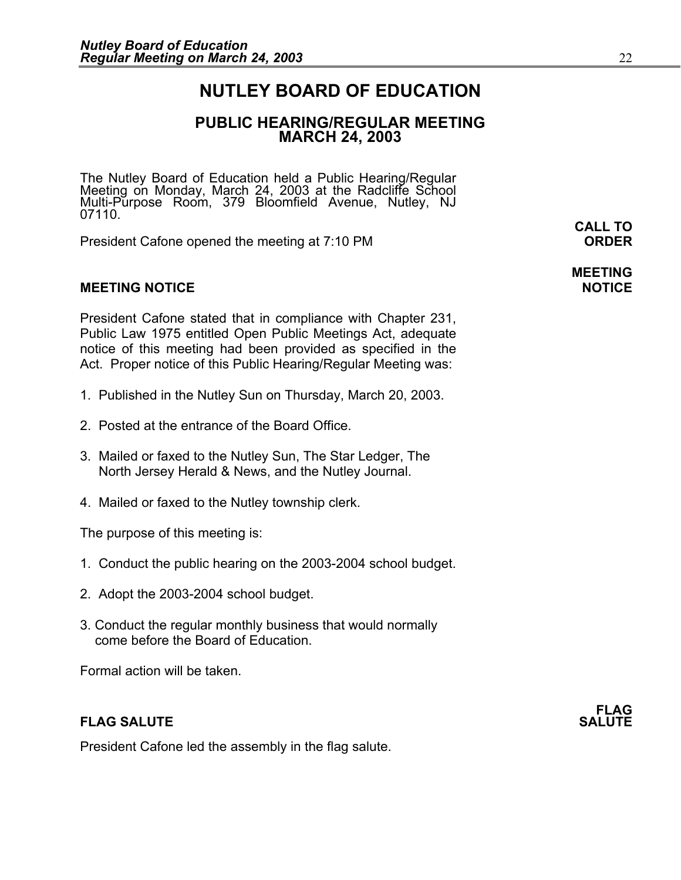### **NUTLEY BOARD OF EDUCATION**

### **PUBLIC HEARING/REGULAR MEETING MARCH 24, 2003**

The Nutley Board of Education held a Public Hearing/Regular<br>Meeting on Monday, March 24, 2003 at the Radcliffe School Multi-Pŭrpose Room, 379 Bloomfield Avenue, Nutley, NJ<br>07110. **CALL TO** 

President Cafone opened the meeting at 7:10 PM **ORDER**

#### **MEETING NOTICE NOTICE AND INSTRUMENT IN A SET ON A SET ON A SET ON A SET ON A SET ON A SET ON A SET ON A SET O**

President Cafone stated that in compliance with Chapter 231, Public Law 1975 entitled Open Public Meetings Act, adequate notice of this meeting had been provided as specified in the Act. Proper notice of this Public Hearing/Regular Meeting was:

- 1. Published in the Nutley Sun on Thursday, March 20, 2003.
- 2. Posted at the entrance of the Board Office.
- 3. Mailed or faxed to the Nutley Sun, The Star Ledger, The North Jersey Herald & News, and the Nutley Journal.
- 4. Mailed or faxed to the Nutley township clerk.

The purpose of this meeting is:

- 1. Conduct the public hearing on the 2003-2004 school budget.
- 2. Adopt the 2003-2004 school budget.
- 3. Conduct the regular monthly business that would normally come before the Board of Education.

Formal action will be taken.

#### **FLAG SALUTE** SALUTE SALUTE SALUTE SALUTE SALUTE SALUTE SALUTE SALUTE SALUTE SALUTE SALUTE SALUTE SALUTE SALUTE SALUTE SALUTE SALUTE SALUTE SALUTE SALUTE SALUTE SALUTE SALUTE SALUTE SALUTE SALUTE SALUTE SALUTE SALUTE SALUT

President Cafone led the assembly in the flag salute.

**FLAG** 

**MEETING**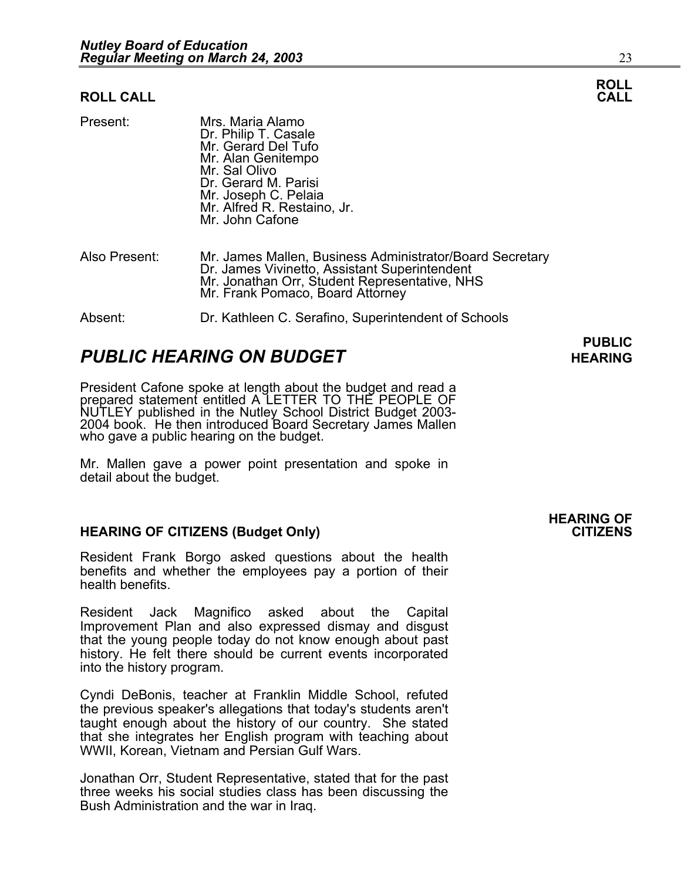#### **ROLL CALL**

| Present:      | Mrs. Maria Alamo<br>Dr. Philip T. Casale<br>Mr. Gerard Del Tufo<br>Mr. Alan Genitempo<br>Mr. Sal Olivo<br>Dr. Gerard M. Parisi<br>Mr. Joseph C. Pelaia<br>Mr. Alfred R. Restaino, Jr.<br>Mr. John Cafone |
|---------------|----------------------------------------------------------------------------------------------------------------------------------------------------------------------------------------------------------|
| Also Present: | Mr. James Mallen, Business Administrator/Board Secretary<br>Dr. James Vivinetto, Assistant Superintendent<br>Mr. Jonathan Orr, Student Representative, NHS                                               |

Absent: Dr. Kathleen C. Serafino, Superintendent of Schools

Mr. Frank Pomaco, Board Attorney

#### **PUBLIC PUBLIC PUBLIC HEARING ON BUDGET HEARING**

President Cafone spoke at length about the budget and read a prepared statement entitled A LETTER TO THE PEOPLE OF NUTLEY published in the Nutley School District Budget 2003-2004 book. He then introduced Board Secretary James Mallen who gave a public hearing on the budget.

Mr. Mallen gave a power point presentation and spoke in detail about the budget.

### **HEARING OF CITIZENS (Budget Only)**

Resident Frank Borgo asked questions about the health benefits and whether the employees pay a portion of their health benefits.

Resident Jack Magnifico asked about the Capital Improvement Plan and also expressed dismay and disgust that the young people today do not know enough about past history. He felt there should be current events incorporated into the history program.

Cyndi DeBonis, teacher at Franklin Middle School, refuted the previous speaker's allegations that today's students aren't taught enough about the history of our country. She stated that she integrates her English program with teaching about WWII, Korean, Vietnam and Persian Gulf Wars.

Jonathan Orr, Student Representative, stated that for the past three weeks his social studies class has been discussing the Bush Administration and the war in Iraq.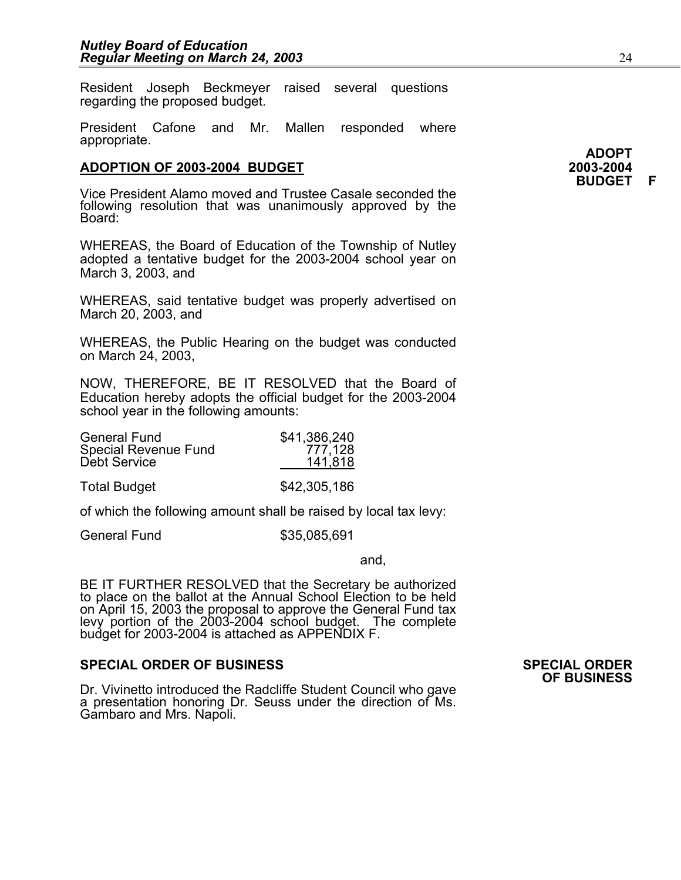Resident Joseph Beckmeyer raised several questions regarding the proposed budget.

President Cafone and Mr. Mallen responded where appropriate.

#### **ADOPTION OF 2003-2004 BUDGET 2003-2004**

Vice President Alamo moved and Trustee Casale seconded the following resolution that was unanimously approved by the<br>Board:

WHEREAS, the Board of Education of the Township of Nutley adopted a tentative budget for the 2003-2004 school year on March 3, 2003, and

WHEREAS, said tentative budget was properly advertised on March 20, 2003, and

WHEREAS, the Public Hearing on the budget was conducted on March 24, 2003,

NOW, THEREFORE, BE IT RESOLVED that the Board of Education hereby adopts the official budget for the 2003-2004 school year in the following amounts:

| <b>General Fund</b><br>Special Revenue Fund<br>Debt Service | \$41,386,240<br>777,128<br>141,818 |
|-------------------------------------------------------------|------------------------------------|
| <b>Total Budget</b>                                         | \$42,305,186                       |

of which the following amount shall be raised by local tax levy:

General Fund \$35,085,691

and,

BE IT FURTHER RESOLVED that the Secretary be authorized to place on the ballot at the Annual School Election to be held on April 15, 2003 the proposal to approve the General Fund tax levy portion of the 2003-2004 school budget. The complete<br>budget for 2003-2004 is attached as APPENDIX F.

#### **SPECIAL ORDER OF BUSINESS SPECIAL ORDER**

Dr. Vivinetto introduced the Radcliffe Student Council who gave a presentation honoring Dr. Seuss under the direction of Ms. Gambaro and Mrs. Napoli.

**OF BUSINESS**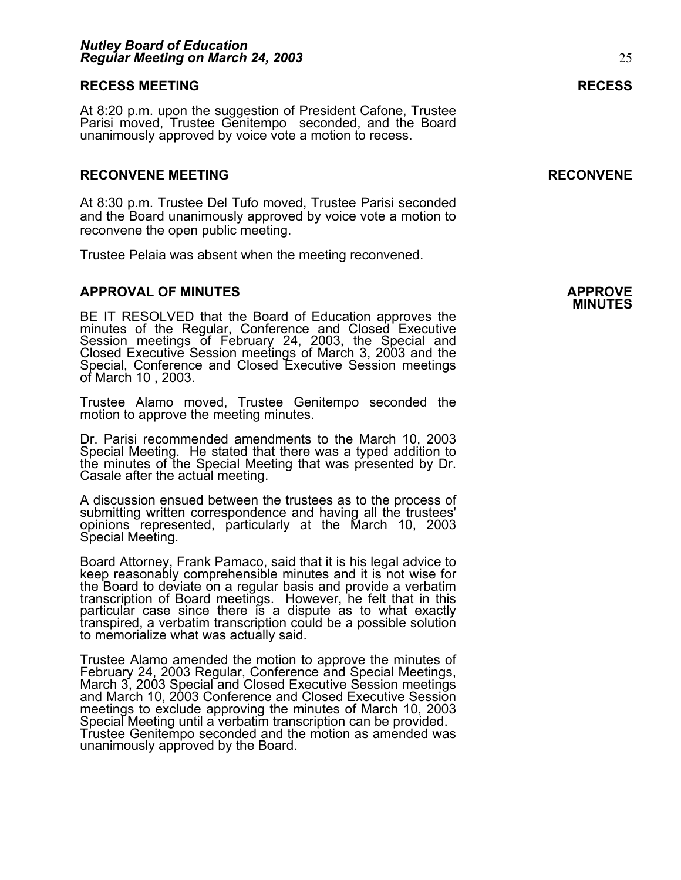#### **RECESS MEETING RECESS**

At 8:20 p.m. upon the suggestion of President Cafone, Trustee Parisi moved, Trustee Genitempo seconded, and the Board unanimously approved by voice vote a motion to recess.

#### **RECONVENE MEETING RECONVENE**

At 8:30 p.m. Trustee Del Tufo moved, Trustee Parisi seconded and the Board unanimously approved by voice vote a motion to reconvene the open public meeting.

Trustee Pelaia was absent when the meeting reconvened.

#### **APPROVAL OF MINUTES APPROVE**

**MINUTES** BE IT RESOLVED that the Board of Education approves the minutes of the Regular, Conference and Closed Executive Session meetings of February 24, 2003, the Special and Closed Executive Session meetings of March 3, 2003 and the<br>Special, Conference and Closed Executive Session meetings<br>of March 10 , 2003.

 Trustee Alamo moved, Trustee Genitempo seconded the motion to approve the meeting minutes.

Dr. Parisi recommended amendments to the March 10, 2003 Special Meeting. He stated that there was a typed addition to the minutes of the Special Meeting that was presented by Dr. Casale after the actual meeting.

A discussion ensued between the trustees as to the process of submitting written correspondence and having all the trustees' opinions represented, particularly at the March 10, 2003 Special Meeting.

Board Attorney, Frank Pamaco, said that it is his legal advice to keep reasonably comprehensible minutes and it is not wise for the Board to deviate on a regular basis and provide a verbatim transcription of Board meetings. However, he felt that in this transpired, a verbatim transcription could be a possible solution to memorialize what was actually said.

Trustee Alamo amended the motion to approve the minutes of February 24, 2003 Regular, Conference and Special Meetings, March 3, 2003 Special and Closed Executive Session meetings and March 10, 2003 Conference and Closed Executive Session meetings to exclude approving the minutes of March 10, 2003 Special Meeting until a verbatim transcription can be provided. Trustee Genitempo seconded and the motion as amended was unanimously approved by the Board.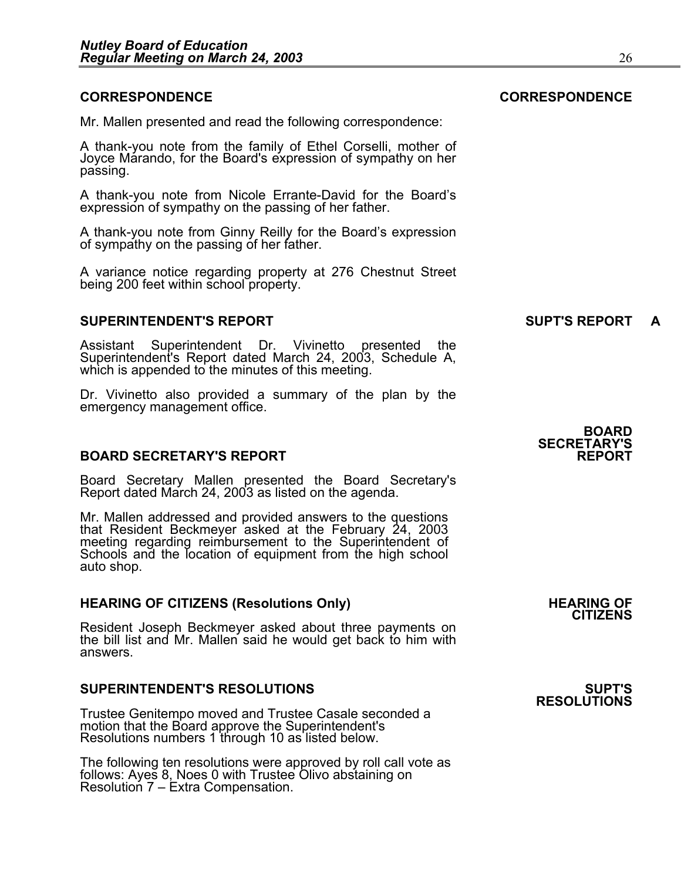#### **CORRESPONDENCE CORRESPONDENCE**

Mr. Mallen presented and read the following correspondence:

A thank-you note from the family of Ethel Corselli, mother of Joyce Marando, for the Board's expression of sympathy on her passing.

A thank-you note from Nicole Errante-David for the Board's expression of sympathy on the passing of her father.

A thank-you note from Ginny Reilly for the Board's expression of sympathy on the passing of her father.

A variance notice regarding property at 276 Chestnut Street being 200 feet within school property.

### **SUPERINTENDENT'S REPORT A CONSUMING SUPT'S REPORT**

Assistant Superintendent Dr. Vivinetto presented the Superintendent's Report dated March 24, 2003, Schedule A, which is appended to the minutes of this meeting.

Dr. Vivinetto also provided a summary of the plan by the emergency management office.

#### **BOARD SECRETARY'S REPORT**

Board Secretary Mallen presented the Board Secretary's Report dated March 24, 2003 as listed on the agenda.

Mr. Mallen addressed and provided answers to the questions that Resident Beckmeyer asked at the February 24, 2003 meeting regarding reimbursement to the Superintendent of Schools and the location of equipment from the high school auto shop.

#### **HEARING OF CITIZENS (Resolutions Only) THEARING OF STATE AND REARING OF STATE AND REARING OF**

Resident Joseph Beckmeyer asked about three payments on the bill list and Mr. Mallen said he would get back to him with answers.

#### **SUPERINTENDENT'S RESOLUTIONS SUPT'S**

Trustee Genitempo moved and Trustee Casale seconded a motion that the Board approve the Superintendent's Resolutions numbers 1 through 10 as listed below.

The following ten resolutions were approved by roll call vote as follows: Ayes 8, Noes 0 with Trustee Olivo abstaining on Resolution 7 – Extra Compensation.

**BOARD SECRETARY'S** 

**CITIZENS** 

# **RESOLUTIONS**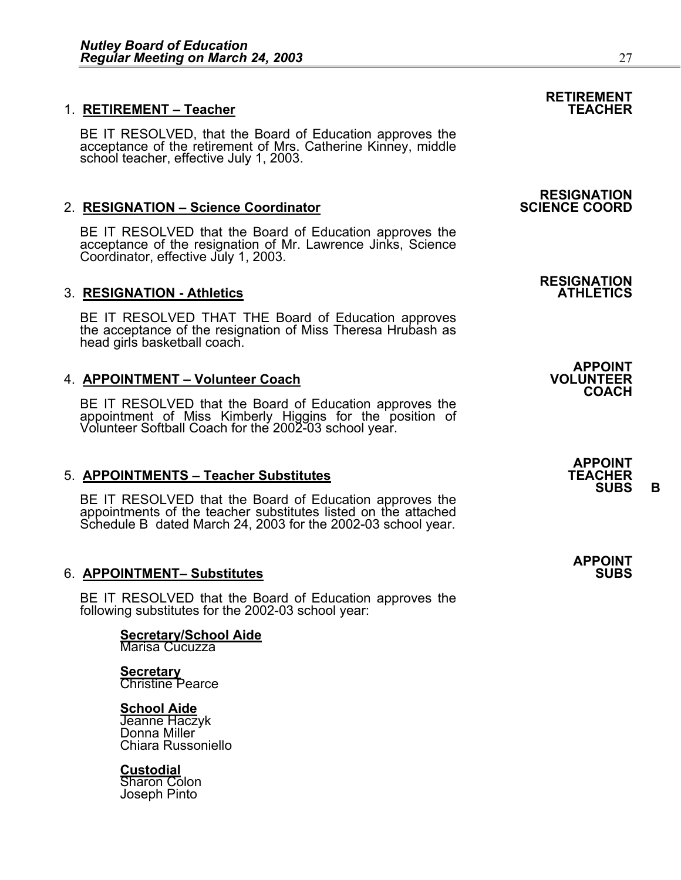## **RETIREMENT** 1. **RETIREMENT – Teacher TEACHER**

BE IT RESOLVED, that the Board of Education approves the acceptance of the retirement of Mrs. Catherine Kinney, middle school teacher, effective July 1, 2003.

### 2. **RESIGNATION – Science Coordinator**

BE IT RESOLVED that the Board of Education approves the acceptance of the resignation of Mr. Lawrence Jinks, Science Coordinator, effective July 1, 2003.

#### **3. RESIGNATION - Athletics**

BE IT RESOLVED THAT THE Board of Education approves the acceptance of the resignation of Miss Theresa Hrubash as head girls basketball coach.

#### 4. **APPOINTMENT – Volunteer Coach**

BE IT RESOLVED that the Board of Education approves the appointment of Miss Kimberly Higgins for the position of Volunteer Softball Coach for the 2002-03 school year.

#### **5. APPOINTMENTS – Teacher Substitutes**

BE IT RESOLVED that the Board of Education approves the appointments of the teacher substitutes listed on the attached Schedule B dated March 24, 2003 for the 2002-03 school year.

#### 6. **APPOINTMENT- Substitutes**

BE IT RESOLVED that the Board of Education approves the following substitutes for the 2002-03 school year:

### **Secretary/School Aide** Marisa Cucuzza

**Secretary**

Christine Pearce

#### **School Aide**

Jeanne Haczyk<br>Donna Miller Chiara Russoniello

#### **Custodial**

 Sharon Colon Joseph Pinto

# **RESIGNATION**

## **RESIGNATION**

**APPOINT COACH** 

> **APPOINT SUBS B**

**APPOINT**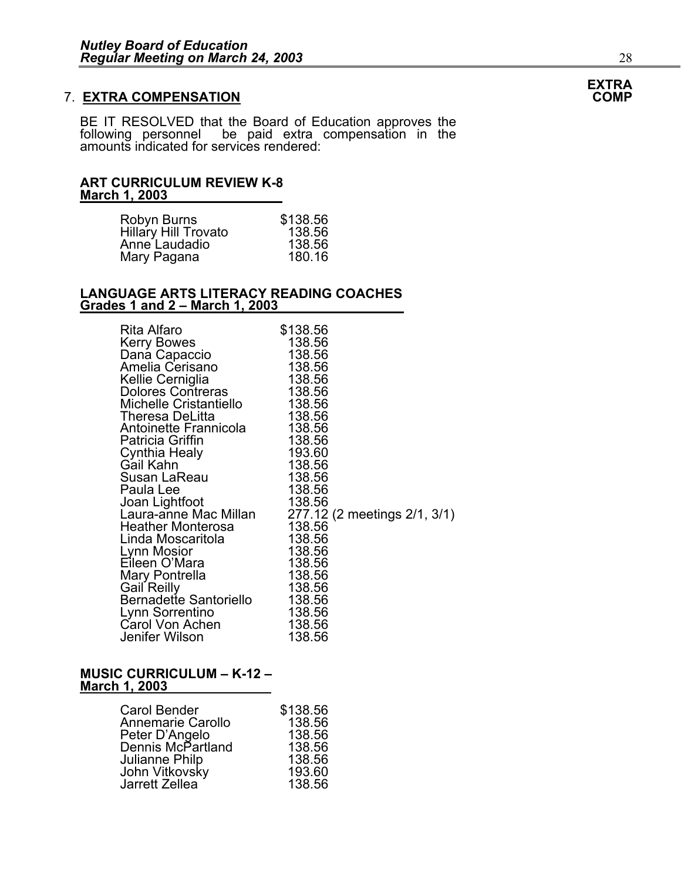### **7. EXTRA COMPENSATION**

BE IT RESOLVED that the Board of Education approves the following personnel be paid extra compensation in the amounts indicated for services rendered:

#### **ART CURRICULUM REVIEW K-8 March 1, 2003**

| Robyn Burns          | \$138.56 |
|----------------------|----------|
| Hillary Hill Trovato | 138.56   |
| Anne Laudadio        | 138.56   |
| Mary Pagana          | 180.16   |

#### **LANGUAGE ARTS LITERACY READING COACHES Grades 1 and 2 – March 1, 2003**

| Rita Alfaro<br><b>Kerry Bowes</b><br>Dana Capaccio<br>Amelia Cerisano<br>Kellie Cerniglia<br>Dolores Contreras<br>Michelle Cristantiello<br>Theresa DeLitta<br>Antoinette Frannicola<br>Patricia Griffin<br>Cynthia Healy<br>Gail Kahn<br>Susan LaReau<br>Paula Lee<br>Joan Lightfoot<br>Laura-anne Mac Millan<br><b>Heather Monterosa</b><br>Linda Moscaritola<br>Lynn Mosior<br>Eileen O'Mara<br>Mary Pontrella<br>Gail Reilly<br>Bernadette Santoriello<br>Lynn Sorrentino | \$138.56<br>138.56<br>138.56<br>138.56<br>138.56<br>138.56<br>138.56<br>138.56<br>138.56<br>138.56<br>193.60<br>138.56<br>138.56<br>138.56<br>138.56<br>138.56<br>138.56<br>138.56<br>138.56<br>138.56<br>138.56<br>138.56<br>138.56 | 277.12 (2 meetings 2/1, 3/1) |
|-------------------------------------------------------------------------------------------------------------------------------------------------------------------------------------------------------------------------------------------------------------------------------------------------------------------------------------------------------------------------------------------------------------------------------------------------------------------------------|--------------------------------------------------------------------------------------------------------------------------------------------------------------------------------------------------------------------------------------|------------------------------|
| Carol Von Achen<br>Jenifer Wilson                                                                                                                                                                                                                                                                                                                                                                                                                                             | 138.56<br>138.56                                                                                                                                                                                                                     |                              |
|                                                                                                                                                                                                                                                                                                                                                                                                                                                                               |                                                                                                                                                                                                                                      |                              |

#### **MUSIC CURRICULUM – K-12 – March 1, 2003**

| Carol Bender      | \$138.56 |
|-------------------|----------|
| Annemarie Carollo | 138.56   |
| Peter D'Angelo    | 138.56   |
| Dennis McPartland | 138.56   |
| Julianne Philp    | 138.56   |
| John Vitkovsky    | 193.60   |
| Jarrett Zellea    | 138.56   |

## **EXTRA**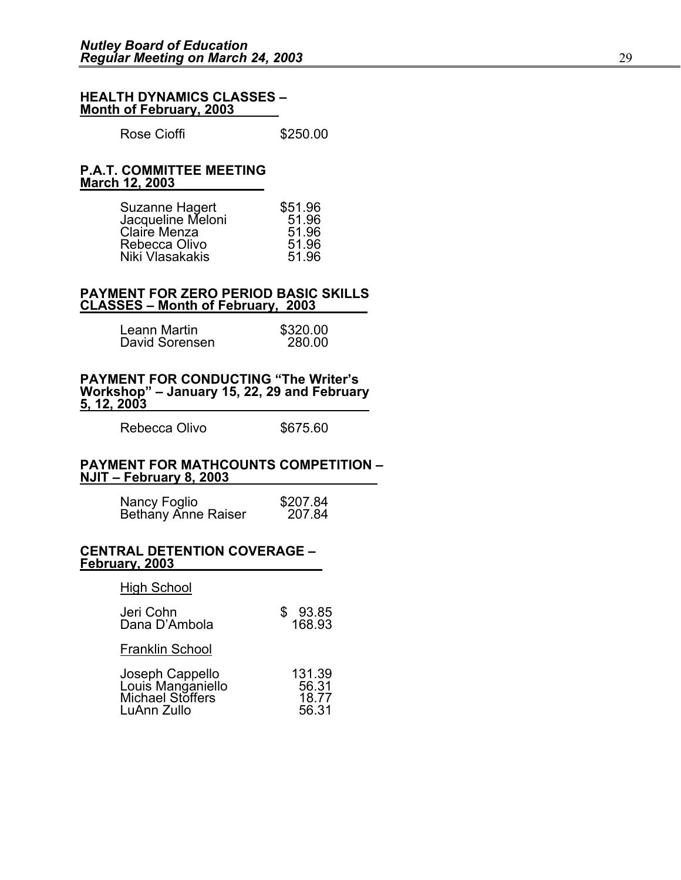#### **HEALTH DYNAMICS CLASSES – Month of February, 2003**

Rose Cioffi **\$250.00** 

#### **P.A.T. COMMITTEE MEETING March 12, 2003**

| Suzanne Hagert    | \$51.96 |
|-------------------|---------|
| Jacqueline Meloni | 51.96   |
| Claire Menza      | 51.96   |
| Rebecca Olivo     | 51.96   |
| Niki Vlasakakis   | 51.96   |

#### **PAYMENT FOR ZERO PERIOD BASIC SKILLS CLASSES – Month of February, 2003**

| Leann Martin   | \$320.00 |
|----------------|----------|
| David Sorensen | 280.00   |

**PAYMENT FOR CONDUCTING "The Writer's Workshop" – January 15, 22, 29 and February 5, 12, 2003**

Rebecca Olivo \$675.60

#### **PAYMENT FOR MATHCOUNTS COMPETITION – NJIT – February 8, 2003**

| Nancy Foglio        | \$207.84 |
|---------------------|----------|
| Bethany Anne Raiser | 207.84   |

#### **CENTRAL DETENTION COVERAGE – February, 2003**

High School

| Jeri Cohn<br>Dana D'Ambola                                              | 93.85<br>168.93                   |
|-------------------------------------------------------------------------|-----------------------------------|
| <b>Franklin School</b>                                                  |                                   |
| Joseph Cappello<br>Louis Manganiello<br>Michael Stoffers<br>LuAnn Zullo | 131.39<br>56.31<br>18.77<br>56.31 |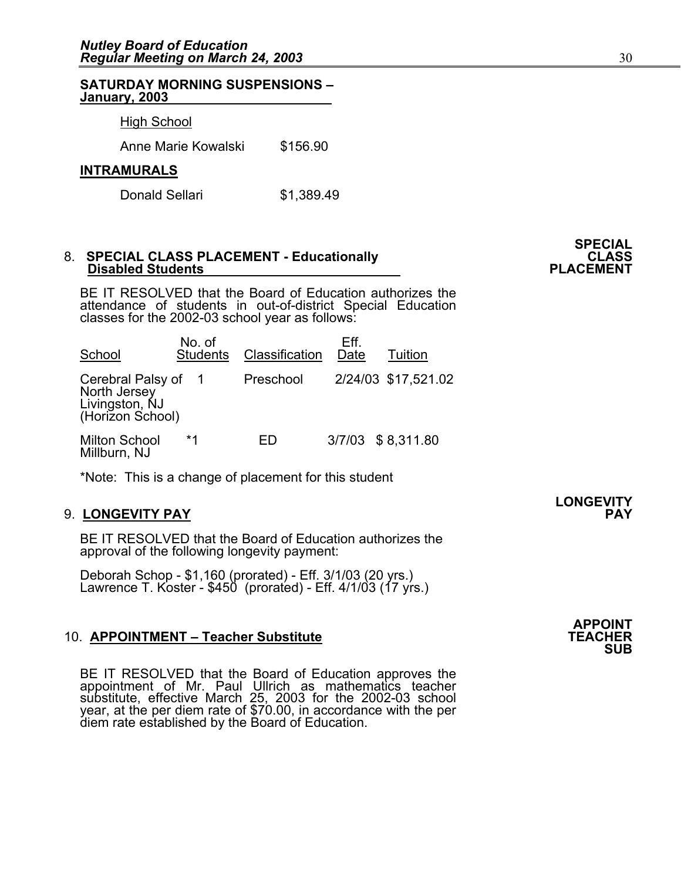#### **SATURDAY MORNING SUSPENSIONS – January, 2003**

#### High School

Anne Marie Kowalski \$156.90

#### **INTRAMURALS**

Donald Sellari \$1,389.49

# 8. SPECIAL CLASS PLACEMENT - Educationally **CLASS** CLASS **Disabled Students**

BE IT RESOLVED that the Board of Education authorizes the attendance of students in out-of-district Special Education classes for the 2002-03 school year as follows:

| School                                                                  | No. of<br><b>Students</b> | Classification | Eff.<br>Date | Tuition             |
|-------------------------------------------------------------------------|---------------------------|----------------|--------------|---------------------|
| Cerebral Palsy of<br>North Jersey<br>Livingston, NJ<br>(Horizon School) |                           | Preschool      |              | 2/24/03 \$17,521.02 |
| <b>Milton School</b><br>Millburn, NJ                                    | $*1$                      | FD             |              | 3/7/03 \$8,311.80   |

\*Note: This is a change of placement for this student

#### 9. **LONGEVITY PAY PAY**

BE IT RESOLVED that the Board of Education authorizes the approval of the following longevity payment:

Deborah Schop - \$1,160 (prorated) - Eff. 3/1/03 (20 yrs.) Lawrence T. Koster - \$450 (prorated) - Eff. 4/1/03 (17 yrs.)

#### 10. **APPOINTMENT – Teacher Substitute**

BE IT RESOLVED that the Board of Education approves the appointment of Mr. Paul Ullrich as mathematics teacher substitute, effective March 25, 2003 for the 2002-03 school year, at the per diem rate of \$70.00, in accordance with the per diem rate established by the Board of Education.

**APPOINT SUB** 

**SPECIAL** 

**LONGEVITY**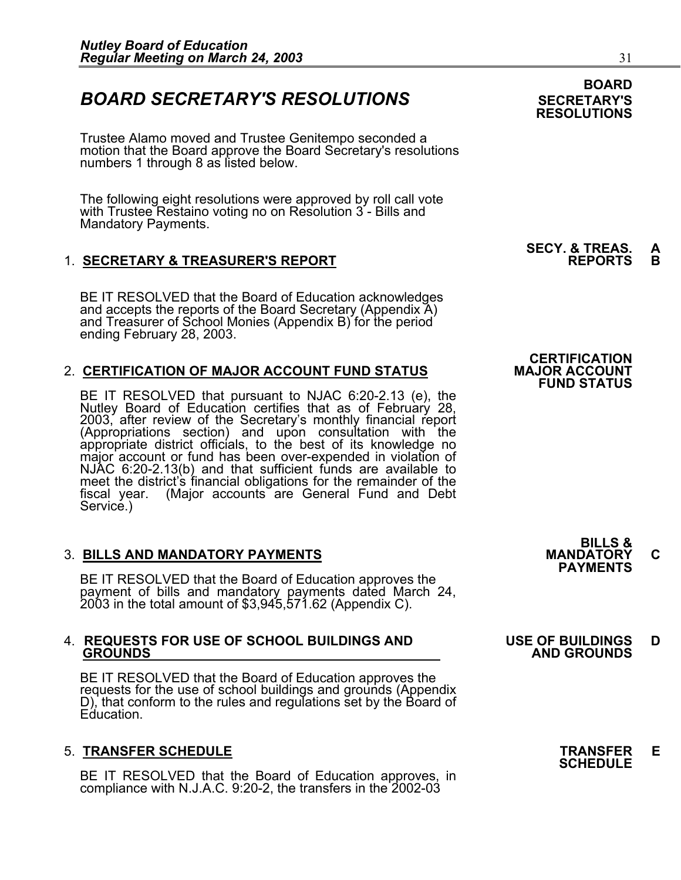### **BOARD SECRETARY'S RESOLUTIONS** SECRETARY'S

Trustee Alamo moved and Trustee Genitempo seconded a motion that the Board approve the Board Secretary's resolutions numbers 1 through 8 as listed below.

The following eight resolutions were approved by roll call vote with Trustee Restaino voting no on Resolution 3 - Bills and Mandatory Payments.

### 1. **SECRETARY & TREASURER'S REPORT**

BE IT RESOLVED that the Board of Education acknowledges and accepts the reports of the Board Secretary (Appendix A) and Treasurer of School Monies (Appendix B) for the period ending February 28, 2003.

### 2. **CERTIFICATION OF MAJOR ACCOUNT FUND STATUS**

BE IT RESOLVED that pursuant to NJAC 6:20-2.13 (e), the Nutley Board of Education certifies that as of February 28, 2003, after review of the Secretary's monthly financial report (Appropriations section) and upon consultat (Appropriations section) and upon consultation with the appropriate district officials, to the best of its knowledge no major account or fund has been over-expended in violation of NJAC 6:20-2.13(b) and that sufficient funds are available to meet the district's financial obligations for the remainder of the fiscal year. (Major accounts are General Fund and Debt Service.)

3. BILLS AND MANDATORY PAYMENTS<br>BE IT RESOLVED that the Board of Education approves the **PAYMENTS** payment of bills and mandatory payments dated March 24, 2003 in the total amount of \$3,945,571.62 (Appendix C).

## 4. **REQUESTS FOR USE OF SCHOOL BUILDINGS AND USE OF BUILDINGS D GROUNDS AND GROUNDS**

BE IT RESOLVED that the Board of Education approves the requests for the use of school buildings and grounds (Appendix D), that conform to the rules and regulations set by the Board of Education.

5. **TRANSFER SCHEDULE**<br>BE IT RESOLVED that the Board of Education approves, in **SCHEDULE**<br>BE IT RESOLVED that the Board of Education approves, in compliance with N.J.A.C. 9:20-2, the transfers in the  $2002-03$ 

### **BOARD RESOLUTIONS**

**SECY. & TREAS. A** 

### **CERTIFICATION FUND STATUS**

**BILLS &**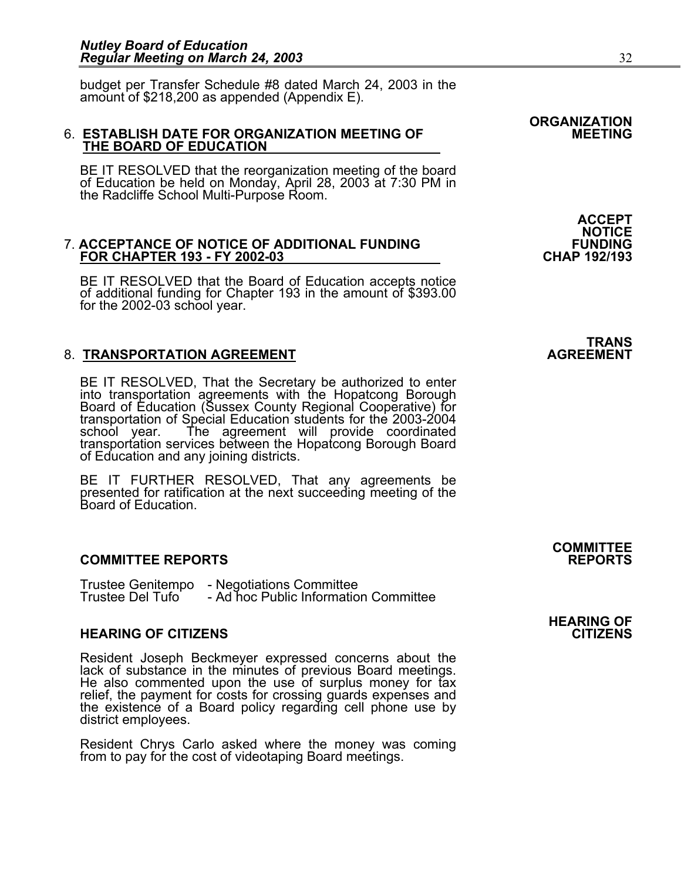budget per Transfer Schedule #8 dated March 24, 2003 in the amount of \$218,200 as appended (Appendix E).

# 6. **ESTABLISH DATE FOR ORGANIZATION MEETING OF MEETING THE BOARD OF EDUCATION**

BE IT RESOLVED that the reorganization meeting of the board of Education be held on Monday, April 28, 2003 at 7:30 PM in the Radcliffe School Multi-Purpose Room.

#### 7. **ACCEPTANCE OF NOTICE OF ADDITIONAL FUNDING FUNDING FOR CHAPTER 193 - FY 2002-03**

BE IT RESOLVED that the Board of Education accepts notice of additional funding for Chapter 193 in the amount of \$393.00 for the 2002-03 school year.

### **8. TRANSPORTATION AGREEMENT**

BE IT RESOLVED, That the Secretary be authorized to enter into transportation agreements with the Hopatcong Borough Board of Education (Sussex County Regional Cooperative) for transportation of Special Education students for the 2003-2004 The agreement will provide coordinated transportation services between the Hopatcong Borough Board of Education and any joining districts.

BE IT FURTHER RESOLVED, That any agreements be presented for ratification at the next succeeding meeting of the Board of Education.

#### **COMMITTEE REPORTS REPORTS**

Trustee Genitempo - Negotiations Committee<br>Trustee Del Tufo - Ad hoc Public Information Committee

#### **HEARING OF CITIZENS CITIZENS**

Resident Joseph Beckmeyer expressed concerns about the lack of substance in the minutes of previous Board meetings. He also commented upon the use of surplus money for tax relief, the payment for costs for crossing guards expenses and the existence of a Board policy regarding cell phone use by district employees.

Resident Chrys Carlo asked where the money was coming from to pay for the cost of videotaping Board meetings.

**ACCEPT NOTICE** 

## TRANS<br>AGREEMENT

## **COMMITTEE**

## **HEARING OF**

## **ORGANIZATION**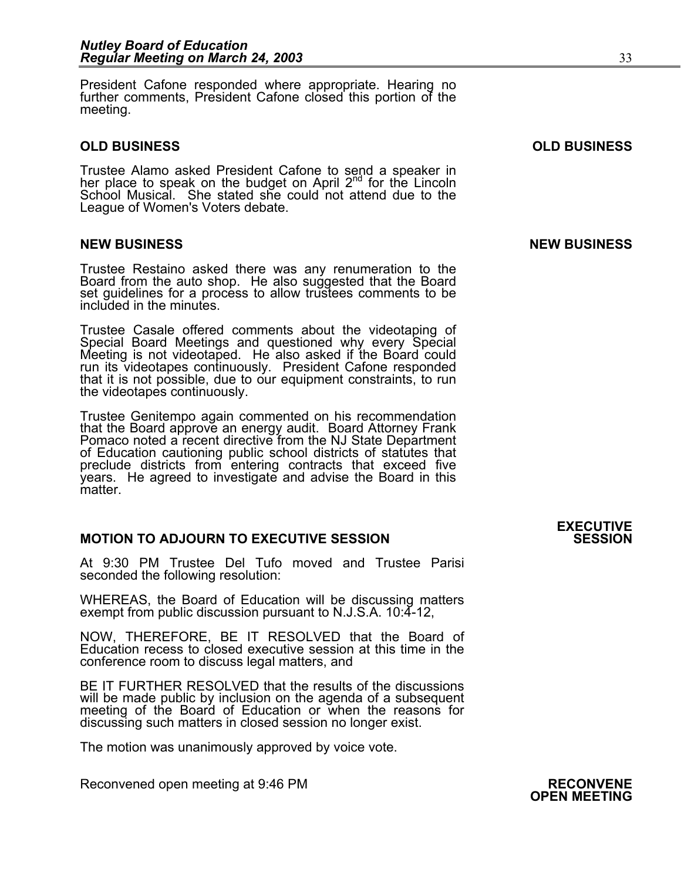President Cafone responded where appropriate. Hearing no further comments, President Cafone closed this portion of the meeting.

#### **OLD BUSINESS OLD BUSINESS**

Trustee Alamo asked President Cafone to send a speaker in her place to speak on the budget on April  $2^{nd}$  for the Lincoln School Musical. She stated she could not attend due to the League of Women's Voters debate.

Trustee Restaino asked there was any renumeration to the Board from the auto shop. He also suggested that the Board set guidelines for a process to allow trustees comments to be included in the minutes.

Trustee Casale offered comments about the videotaping of Special Board Meetings and questioned why every Special Meeting is not videotaped. He also asked if the Board could run its videotapes continuously. President Cafone responded that it is not possible, due to our equipment constraints, to run the videotapes continuously.

Trustee Genitempo again commented on his recommendation that the Board approve an energy audit. Board Attorney Frank Pomaco noted a recent directive from the NJ State Department of Education cautioning public school districts of statutes that preclude districts from entering contracts that exceed five years. He agreed to investigate and advise the Board in this matter.

### **MOTION TO ADJOURN TO EXECUTIVE SESSION**

At 9:30 PM Trustee Del Tufo moved and Trustee Parisi seconded the following resolution:

WHEREAS, the Board of Education will be discussing matters exempt from public discussion pursuant to N.J.S.A. 10:4-12,

NOW, THEREFORE, BE IT RESOLVED that the Board of Education recess to closed executive session at this time in the conference room to discuss legal matters, and

BE IT FURTHER RESOLVED that the results of the discussions will be made public by inclusion on the agenda of a subsequent meeting of the Board of Education or when the reasons for discussing such matters in closed session no longer exist.

The motion was unanimously approved by voice vote.

Reconvened open meeting at 9:46 PM **RECONVENE**<br>**OPEN MEETING** 

#### **NEW BUSINESS NEW BUSINESS**

# **EXECUTIVE**